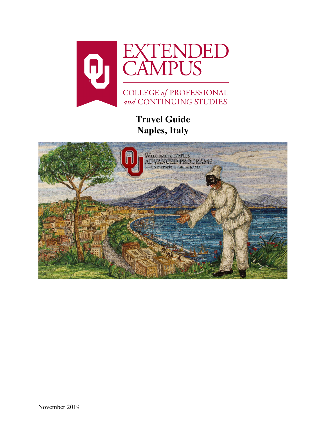

**Travel Guide Naples, Italy**

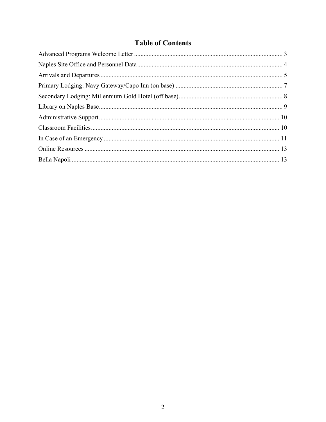# **Table of Contents**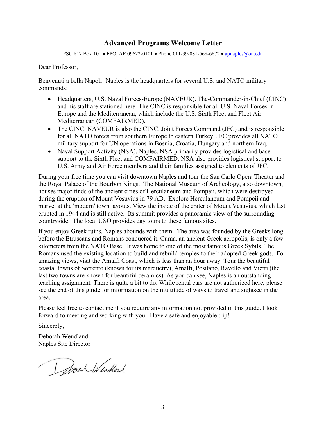## **Advanced Programs Welcome Letter**

PSC 817 Box 101 • FPO, AE 09622-0101 • Phone 011-39-081-568-6672 • [apnaples@ou.edu](mailto:apnaples@ou.edu)

<span id="page-2-0"></span>Dear Professor,

Benvenuti a bella Napoli! Naples is the headquarters for several U.S. and NATO military commands:

- Headquarters, U.S. Naval Forces-Europe (NAVEUR). The-Commander-in-Chief (CINC) and his staff are stationed here. The CINC is responsible for all U.S. Naval Forces in Europe and the Mediterranean, which include the U.S. Sixth Fleet and Fleet Air Mediterranean (COMFAIRMED).
- The CINC, NAVEUR is also the CINC, Joint Forces Command (JFC) and is responsible for all NATO forces from southern Europe to eastern Turkey. JFC provides all NATO military support for UN operations in Bosnia, Croatia, Hungary and northern Iraq.
- Naval Support Activity (NSA), Naples. NSA primarily provides logistical and base support to the Sixth Fleet and COMFAIRMED. NSA also provides logistical support to U.S. Army and Air Force members and their families assigned to elements of JFC.

During your free time you can visit downtown Naples and tour the San Carlo Opera Theater and the Royal Palace of the Bourbon Kings. The National Museum of Archeology, also downtown, houses major finds of the ancient cities of Herculaneum and Pompeii, which were destroyed during the eruption of Mount Vesuvius in 79 AD. Explore Herculaneum and Pompeii and marvel at the 'modern' town layouts. View the inside of the crater of Mount Vesuvius, which last erupted in 1944 and is still active. Its summit provides a panoramic view of the surrounding countryside. The local USO provides day tours to these famous sites.

If you enjoy Greek ruins, Naples abounds with them. The area was founded by the Greeks long before the Etruscans and Romans conquered it. Cuma, an ancient Greek acropolis, is only a few kilometers from the NATO Base. It was home to one of the most famous Greek Sybils. The Romans used the existing location to build and rebuild temples to their adopted Greek gods. For amazing views, visit the Amalfi Coast, which is less than an hour away. Tour the beautiful coastal towns of Sorrento (known for its marquetry), Amalfi, Positano, Ravello and Vietri (the last two towns are known for beautiful ceramics). As you can see, Naples is an outstanding teaching assignment. There is quite a bit to do. While rental cars are not authorized here, please see the end of this guide for information on the multitude of ways to travel and sightsee in the area.

Please feel free to contact me if you require any information not provided in this guide. I look forward to meeting and working with you. Have a safe and enjoyable trip!

Sincerely,

Deborah Wendland Naples Site Director

I Shown Windland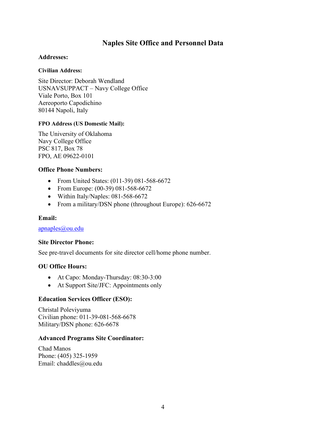## **Naples Site Office and Personnel Data**

#### <span id="page-3-0"></span>**Addresses:**

#### **Civilian Address:**

Site Director: Deborah Wendland USNAVSUPPACT – Navy College Office Viale Porto, Box 101 Aereoporto Capodichino 80144 Napoli, Italy

#### **FPO Address (US Domestic Mail):**

The University of Oklahoma Navy College Office PSC 817, Box 78 FPO, AE 09622-0101

#### **Office Phone Numbers:**

- From United States: (011-39) 081-568-6672
- From Europe: (00-39) 081-568-6672
- Within Italy/Naples: 081-568-6672
- From a military/DSN phone (throughout Europe): 626-6672

#### **Email:**

[apnaples@ou.edu](mailto:apnaples@ou.edu)

#### **Site Director Phone:**

See pre-travel documents for site director cell/home phone number.

#### **OU Office Hours:**

- At Capo: Monday-Thursday: 08:30-3:00
- At Support Site/JFC: Appointments only

#### **Education Services Officer (ESO):**

Christal Poleviyuma Civilian phone: 011-39-081-568-6678 Military/DSN phone: 626-6678

#### **Advanced Programs Site Coordinator:**

Chad Manos Phone: (405) 325-1959 Email: chaddles@ou.edu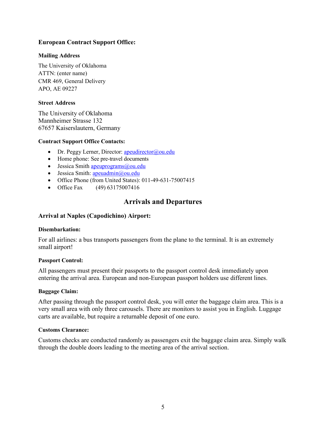### **European Contract Support Office:**

#### **Mailing Address**

The University of Oklahoma ATTN: (enter name) CMR 469, General Delivery APO, AE 09227

#### **Street Address**

The University of Oklahoma Mannheimer Strasse 132 67657 Kaiserslautern, Germany

#### **Contract Support Office Contacts:**

- Dr. Peggy Lerner, Director: apeudirector $@$ ou.edu
- Home phone: See pre-travel documents
- Jessica Smith  $\frac{ap \cdot \text{up}(\omega) \cdot \text{up}(\omega)}{ap \cdot \text{up}(\omega)}$
- $\bullet$  Jessica Smith: [apeuadmin@ou.edu](mailto:apeuadmin@ou.edu)
- Office Phone (from United States): 011-49-631-75007415
- <span id="page-4-0"></span>• Office Fax (49) 63175007416

## **Arrivals and Departures**

#### **Arrival at Naples (Capodichino) Airport:**

#### **Disembarkation:**

For all airlines: a bus transports passengers from the plane to the terminal. It is an extremely small airport!

#### **Passport Control:**

All passengers must present their passports to the passport control desk immediately upon entering the arrival area. European and non-European passport holders use different lines.

#### **Baggage Claim:**

After passing through the passport control desk, you will enter the baggage claim area. This is a very small area with only three carousels. There are monitors to assist you in English. Luggage carts are available, but require a returnable deposit of one euro.

#### **Customs Clearance:**

Customs checks are conducted randomly as passengers exit the baggage claim area. Simply walk through the double doors leading to the meeting area of the arrival section.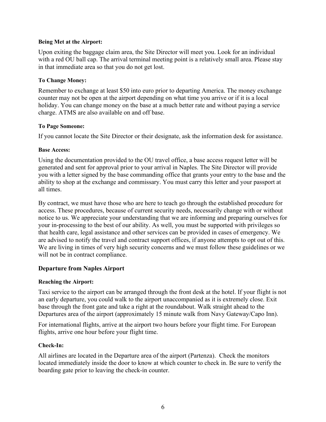#### **Being Met at the Airport:**

Upon exiting the baggage claim area, the Site Director will meet you. Look for an individual with a red OU ball cap. The arrival terminal meeting point is a relatively small area. Please stay in that immediate area so that you do not get lost.

#### **To Change Money:**

Remember to exchange at least \$50 into euro prior to departing America. The money exchange counter may not be open at the airport depending on what time you arrive or if it is a local holiday. You can change money on the base at a much better rate and without paying a service charge. ATMS are also available on and off base.

#### **To Page Someone:**

If you cannot locate the Site Director or their designate, ask the information desk for assistance.

#### **Base Access:**

Using the documentation provided to the OU travel office, a base access request letter will be generated and sent for approval prior to your arrival in Naples. The Site Director will provide you with a letter signed by the base commanding office that grants your entry to the base and the ability to shop at the exchange and commissary. You must carry this letter and your passport at all times.

By contract, we must have those who are here to teach go through the established procedure for access. These procedures, because of current security needs, necessarily change with or without notice to us. We appreciate your understanding that we are informing and preparing ourselves for your in-processing to the best of our ability. As well, you must be supported with privileges so that health care, legal assistance and other services can be provided in cases of emergency. We are advised to notify the travel and contract support offices, if anyone attempts to opt out of this. We are living in times of very high security concerns and we must follow these guidelines or we will not be in contract compliance.

## **Departure from Naples Airport**

#### **Reaching the Airport:**

Taxi service to the airport can be arranged through the front desk at the hotel. If your flight is not an early departure, you could walk to the airport unaccompanied as it is extremely close. Exit base through the front gate and take a right at the roundabout. Walk straight ahead to the Departures area of the airport (approximately 15 minute walk from Navy Gateway/Capo Inn).

For international flights, arrive at the airport two hours before your flight time. For European flights, arrive one hour before your flight time.

#### **Check-In:**

All airlines are located in the Departure area of the airport (Partenza). Check the monitors located immediately inside the door to know at which counter to check in. Be sure to verify the boarding gate prior to leaving the check-in counter.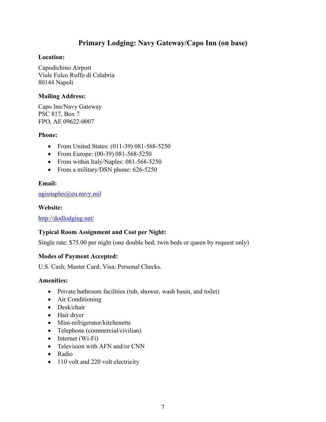## **Primary Lodging: Navy Gateway/Capo Inn (on base)**

### <span id="page-6-0"></span>**Location:**

Capodichino Airport Viale Fulco Ruffo di Calabria 80144 Napoli

### **Mailing Address:**

Capo Inn/Navy Gateway PSC 817, Box 7 FPO, AE 09622-0007

### **Phone:**

- From United States: (011-39) 081-568-5250
- From Europe: (00-39) 081-568-5250
- From within Italy/Naples: 081-568-5250
- From a military/DSN phone: 626-5250

## **Email:**

### [ngisnaples@eu.navy.mil](mailto:ngisnaples@eu.navy.mil)

### **Website:**

<http://dodlodging.net/>

## **Typical Room Assignment and Cost per Night:**

Single rate: \$75.00 per night (one double bed; twin beds or queen by request only)

## **Modes of Payment Accepted:**

U.S. Cash; Master Card; Visa; Personal Checks.

## **Amenities:**

- Private bathroom facilities (tub, shower, wash basin, and toilet)
- Air Conditioning
- Desk/chair
- Hair dryer
- Mini-refrigerator/kitchenette
- Telephone (commercial/civilian)
- Internet  $(W_i-F_i)$
- Television with AFN and/or CNN
- Radio
- 110 volt and 220 volt electricity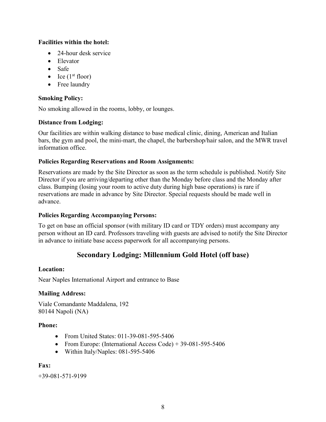## **Facilities within the hotel:**

- 24-hour desk service
- Elevator
- Safe
- Ice  $(1<sup>st</sup> floor)$
- Free laundry

## **Smoking Policy:**

No smoking allowed in the rooms, lobby, or lounges.

## **Distance from Lodging:**

Our facilities are within walking distance to base medical clinic, dining, American and Italian bars, the gym and pool, the mini-mart, the chapel, the barbershop/hair salon, and the MWR travel information office.

## **Policies Regarding Reservations and Room Assignments:**

Reservations are made by the Site Director as soon as the term schedule is published. Notify Site Director if you are arriving/departing other than the Monday before class and the Monday after class. Bumping (losing your room to active duty during high base operations) is rare if reservations are made in advance by Site Director. Special requests should be made well in advance.

## **Policies Regarding Accompanying Persons:**

<span id="page-7-0"></span>To get on base an official sponsor (with military ID card or TDY orders) must accompany any person without an ID card. Professors traveling with guests are advised to notify the Site Director in advance to initiate base access paperwork for all accompanying persons.

## **Secondary Lodging: Millennium Gold Hotel (off base)**

## **Location:**

Near Naples International Airport and entrance to Base

## **Mailing Address:**

Viale Comandante Maddalena, 192 80144 Napoli (NA)

## **Phone:**

- From United States: 011-39-081-595-5406
- From Europe: (International Access Code) +  $39-081-595-5406$
- Within Italy/Naples: 081-595-5406

## **Fax:**

+39-081-571-9199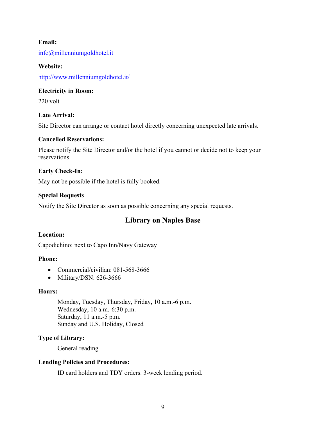### **Email:**

[info@millenniumgoldhotel.it](mailto:info@millenniumgoldhotel.it)

# **Website:**

<http://www.millenniumgoldhotel.it/>

### **Electricity in Room:**

220 volt

### **Late Arrival:**

Site Director can arrange or contact hotel directly concerning unexpected late arrivals.

#### **Cancelled Reservations:**

Please notify the Site Director and/or the hotel if you cannot or decide not to keep your reservations.

### **Early Check-In:**

May not be possible if the hotel is fully booked.

### **Special Requests**

<span id="page-8-0"></span>Notify the Site Director as soon as possible concerning any special requests.

## **Library on Naples Base**

#### **Location:**

Capodichino: next to Capo Inn/Navy Gateway

### **Phone:**

- Commercial/civilian: 081-568-3666
- Military/DSN: 626-3666

#### **Hours:**

Monday, Tuesday, Thursday, Friday, 10 a.m.-6 p.m. Wednesday, 10 a.m.-6:30 p.m. Saturday, 11 a.m.-5 p.m. Sunday and U.S. Holiday, Closed

## **Type of Library:**

General reading

#### **Lending Policies and Procedures:**

ID card holders and TDY orders. 3-week lending period.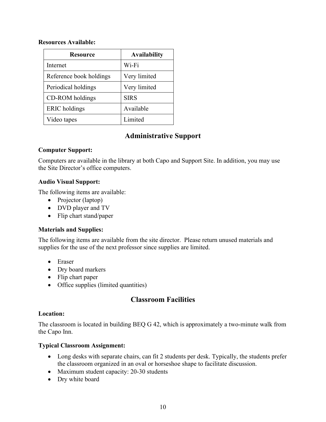#### **Resources Available:**

| <b>Resource</b>         | <b>Availability</b> |
|-------------------------|---------------------|
| Internet                | Wi-Fi               |
| Reference book holdings | Very limited        |
| Periodical holdings     | Very limited        |
| CD-ROM holdings         | <b>SIRS</b>         |
| <b>ERIC</b> holdings    | Available           |
| Video tapes             | Limited             |

## **Administrative Support**

## <span id="page-9-0"></span>**Computer Support:**

Computers are available in the library at both Capo and Support Site. In addition, you may use the Site Director's office computers.

## **Audio Visual Support:**

The following items are available:

- Projector (laptop)
- DVD player and TV
- Flip chart stand/paper

## **Materials and Supplies:**

The following items are available from the site director. Please return unused materials and supplies for the use of the next professor since supplies are limited.

- Eraser
- Dry board markers
- Flip chart paper
- Office supplies (limited quantities)

## **Classroom Facilities**

#### <span id="page-9-1"></span>**Location:**

The classroom is located in building BEQ G 42, which is approximately a two-minute walk from the Capo Inn.

## **Typical Classroom Assignment:**

- Long desks with separate chairs, can fit 2 students per desk. Typically, the students prefer the classroom organized in an oval or horseshoe shape to facilitate discussion.
- Maximum student capacity: 20-30 students
- Dry white board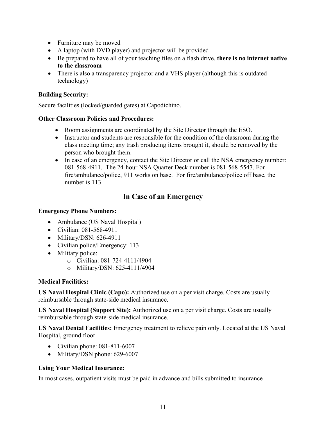- Furniture may be moved
- A laptop (with DVD player) and projector will be provided
- Be prepared to have all of your teaching files on a flash drive, **there is no internet native to the classroom**
- There is also a transparency projector and a VHS player (although this is outdated technology)

### **Building Security:**

Secure facilities (locked/guarded gates) at Capodichino.

### **Other Classroom Policies and Procedures:**

- Room assignments are coordinated by the Site Director through the ESO.
- Instructor and students are responsible for the condition of the classroom during the class meeting time; any trash producing items brought it, should be removed by the person who brought them.
- In case of an emergency, contact the Site Director or call the NSA emergency number: 081-568-4911. The 24-hour NSA Quarter Deck number is 081-568-5547. For fire/ambulance/police, 911 works on base. For fire/ambulance/police off base, the number is 113.

## **In Case of an Emergency**

### <span id="page-10-0"></span>**Emergency Phone Numbers:**

- Ambulance (US Naval Hospital)
- Civilian: 081-568-4911
- $\bullet$  Military/DSN: 626-4911
- Civilian police/Emergency: 113
- Military police:
	- o Civilian: 081-724-4111/4904
	- o Military/DSN: 625-4111/4904

## **Medical Facilities:**

**US Naval Hospital Clinic (Capo):** Authorized use on a per visit charge. Costs are usually reimbursable through state-side medical insurance.

**US Naval Hospital (Support Site):** Authorized use on a per visit charge. Costs are usually reimbursable through state-side medical insurance.

**US Naval Dental Facilities:** Emergency treatment to relieve pain only. Located at the US Naval Hospital, ground floor

- Civilian phone: 081-811-6007
- Military/DSN phone: 629-6007

## **Using Your Medical Insurance:**

In most cases, outpatient visits must be paid in advance and bills submitted to insurance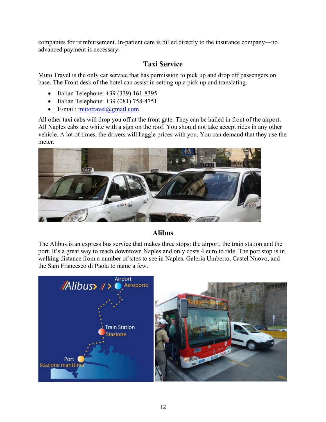companies for reimbursement. In-patient care is billed directly to the insurance company—no advanced payment is necessary.

# **Taxi Service**

Muto Travel is the only car service that has permission to pick up and drop off passengers on base. The Front desk of the hotel can assist in setting up a pick up and translating.

- Italian Telephone: +39 (339) 161-8395
- Italian Telephone: +39 (081) 758-4751
- E-mail: [mutotravel@gmail.com](mailto:mutotravel@gmail.com)

All other taxi cabs will drop you off at the front gate. They can be hailed in front of the airport. All Naples cabs are white with a sign on the roof. You should not take accept rides in any other vehicle. A lot of times, the drivers will haggle prices with you. You can demand that they use the meter.



## **Alibus**

The Alibus is an express bus service that makes three stops: the airport, the train station and the port. It's a great way to reach downtown Naples and only costs 4 euro to ride. The port stop is in walking distance from a number of sites to see in Naples. Galeria Umberto, Castel Nuovo, and the Sam Francesco di Paola to name a few.